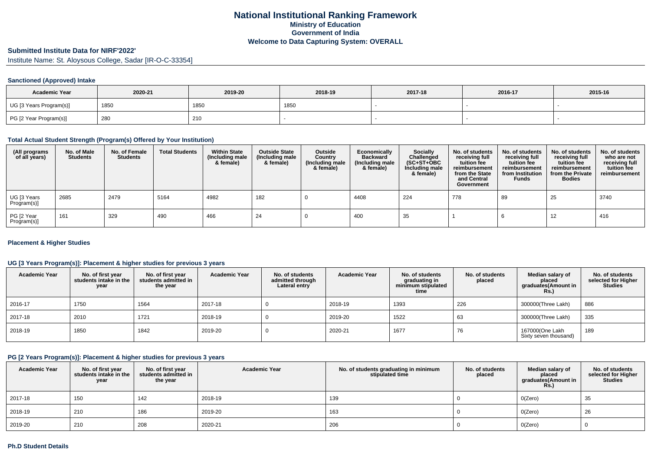## **Submitted Institute Data for NIRF'2022'**

Institute Name: St. Aloysous College, Sadar [IR-O-C-33354]

## **Sanctioned (Approved) Intake**

| <b>Academic Year</b>    | 2020-21 | 2019-20 | 2018-19 | 2017-18 | 2016-17 | 2015-16 |
|-------------------------|---------|---------|---------|---------|---------|---------|
| UG [3 Years Program(s)] | 185∪    | 1850    | 1850    |         |         |         |
| PG [2 Year Program(s)]  | 280     | 210     |         |         |         |         |

#### **Total Actual Student Strength (Program(s) Offered by Your Institution)**

| (All programs<br>of all years) | No. of Male<br><b>Students</b> | No. of Female<br><b>Students</b> | <b>Total Students</b> | <b>Within State</b><br>(Including male<br>& female) | <b>Outside State</b><br>(Including male<br>& female) | <b>Outside</b><br>Country<br>Including male)<br>& female) | Economically<br><b>Backward</b><br>(Including male<br>& female) | Socially<br>Challenged<br>$(SC+ST+OBC)$<br>Including male<br>& female) | No. of students<br>receiving full<br>tuition fee<br>reimbursement<br>from the State<br>and Central<br>Government | No. of students<br>receiving full<br>tuition fee<br>reimbursement<br>from Institution<br><b>Funds</b> | No. of students<br>receiving full<br>tuition fee<br>reimbursement<br>from the Private<br><b>Bodies</b> | No. of students<br>who are not<br>receiving full<br>tuition fee<br>reimbursement |
|--------------------------------|--------------------------------|----------------------------------|-----------------------|-----------------------------------------------------|------------------------------------------------------|-----------------------------------------------------------|-----------------------------------------------------------------|------------------------------------------------------------------------|------------------------------------------------------------------------------------------------------------------|-------------------------------------------------------------------------------------------------------|--------------------------------------------------------------------------------------------------------|----------------------------------------------------------------------------------|
| UG [3 Years<br>Program(s)]     | 2685                           | 2479                             | 5164                  | 4982                                                | 182                                                  |                                                           | 4408                                                            | 224                                                                    | 778                                                                                                              | 89                                                                                                    | 25                                                                                                     | 3740                                                                             |
| PG [2 Year<br>Program(s)]      | 161                            | 329                              | 490                   | 466                                                 | 24                                                   |                                                           | 400                                                             | 35                                                                     |                                                                                                                  |                                                                                                       | 12                                                                                                     | 416                                                                              |

## **Placement & Higher Studies**

## **UG [3 Years Program(s)]: Placement & higher studies for previous 3 years**

| <b>Academic Year</b> | No. of first year<br>students intake in the<br>year | No. of first vear<br>students admitted in<br>the year | <b>Academic Year</b> | No. of students<br>admitted through<br>Lateral entry | <b>Academic Year</b> | No. of students<br>graduating in<br>minimum stipulated<br>time | No. of students<br>placed | Median salary of<br>placed<br>graduates(Amount in<br><b>Rs.)</b> | No. of students<br>selected for Higher<br><b>Studies</b> |
|----------------------|-----------------------------------------------------|-------------------------------------------------------|----------------------|------------------------------------------------------|----------------------|----------------------------------------------------------------|---------------------------|------------------------------------------------------------------|----------------------------------------------------------|
| 2016-17              | 1750                                                | 1564                                                  | 2017-18              |                                                      | 2018-19              | 1393                                                           | 226                       | 300000(Three Lakh)                                               | 886                                                      |
| 2017-18              | 2010                                                | 1721                                                  | 2018-19              |                                                      | 2019-20              | 1522                                                           | 63                        | 300000(Three Lakh)                                               | 335                                                      |
| 2018-19              | 1850                                                | 1842                                                  | 2019-20              |                                                      | 2020-21              | 1677                                                           | 76                        | 167000(One Lakh<br>Sixty seven thousand)                         | 189                                                      |

#### **PG [2 Years Program(s)]: Placement & higher studies for previous 3 years**

| <b>Academic Year</b> | No. of first year<br>students intake in the<br>year | No. of first vear<br>students admitted in<br>the year | <b>Academic Year</b> | No. of students graduating in minimum<br>stipulated time | No. of students<br>placed | Median salary of<br>placed<br>graduates(Amount in<br><b>Rs.)</b> | No. of students<br>selected for Higher<br><b>Studies</b> |
|----------------------|-----------------------------------------------------|-------------------------------------------------------|----------------------|----------------------------------------------------------|---------------------------|------------------------------------------------------------------|----------------------------------------------------------|
| 2017-18              | 150                                                 | 142                                                   | 2018-19              | 139                                                      |                           | O(Zero)                                                          | 35                                                       |
| 2018-19              | 210                                                 | 186                                                   | 2019-20              | 163                                                      |                           | O(Zero)                                                          | 26                                                       |
| 2019-20              | 210                                                 | 208                                                   | 2020-21              | 206                                                      |                           | O(Zero)                                                          |                                                          |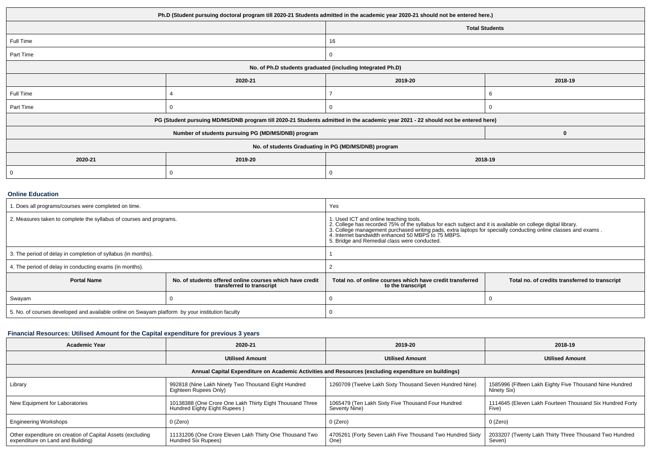| Ph.D (Student pursuing doctoral program till 2020-21 Students admitted in the academic year 2020-21 should not be entered here.) |                                                                                                                                  |                       |         |  |  |  |
|----------------------------------------------------------------------------------------------------------------------------------|----------------------------------------------------------------------------------------------------------------------------------|-----------------------|---------|--|--|--|
|                                                                                                                                  |                                                                                                                                  | <b>Total Students</b> |         |  |  |  |
| Full Time                                                                                                                        |                                                                                                                                  | 16                    |         |  |  |  |
| Part Time                                                                                                                        |                                                                                                                                  | U                     |         |  |  |  |
| No. of Ph.D students graduated (including Integrated Ph.D)                                                                       |                                                                                                                                  |                       |         |  |  |  |
|                                                                                                                                  | 2020-21                                                                                                                          | 2019-20               | 2018-19 |  |  |  |
| Full Time                                                                                                                        |                                                                                                                                  |                       |         |  |  |  |
| Part Time                                                                                                                        |                                                                                                                                  |                       |         |  |  |  |
|                                                                                                                                  | PG (Student pursuing MD/MS/DNB program till 2020-21 Students admitted in the academic year 2021 - 22 should not be entered here) |                       |         |  |  |  |
|                                                                                                                                  | Number of students pursuing PG (MD/MS/DNB) program                                                                               |                       |         |  |  |  |
| No. of students Graduating in PG (MD/MS/DNB) program                                                                             |                                                                                                                                  |                       |         |  |  |  |
| 2020-21                                                                                                                          | 2019-20<br>2018-19                                                                                                               |                       |         |  |  |  |
|                                                                                                                                  |                                                                                                                                  |                       |         |  |  |  |

## **Online Education**

| I. Does all programs/courses were completed on time.                                            |                                                                                       | Yes                                                                                                                                                                                                                                                                                                                                                                            |                                                |  |
|-------------------------------------------------------------------------------------------------|---------------------------------------------------------------------------------------|--------------------------------------------------------------------------------------------------------------------------------------------------------------------------------------------------------------------------------------------------------------------------------------------------------------------------------------------------------------------------------|------------------------------------------------|--|
| 2. Measures taken to complete the syllabus of courses and programs.                             |                                                                                       | 1. Used ICT and online teaching tools.<br>2. College has recorded 75% of the syllabus for each subject and it is available on college digital library.<br>3. College management purchased writing pads, extra laptops for specially conducting online classes and exams.<br>4. Internet bandwidth enhanced 50 MBPS to 75 MBPS.<br>5. Bridge and Remedial class were conducted. |                                                |  |
| 3. The period of delay in completion of syllabus (in months).                                   |                                                                                       |                                                                                                                                                                                                                                                                                                                                                                                |                                                |  |
| 4. The period of delay in conducting exams (in months).                                         |                                                                                       |                                                                                                                                                                                                                                                                                                                                                                                |                                                |  |
| <b>Portal Name</b>                                                                              | No. of students offered online courses which have credit<br>transferred to transcript | Total no, of online courses which have credit transferred<br>to the transcript                                                                                                                                                                                                                                                                                                 | Total no. of credits transferred to transcript |  |
| Swayam                                                                                          |                                                                                       |                                                                                                                                                                                                                                                                                                                                                                                |                                                |  |
| 5. No. of courses developed and available online on Swayam platform by your institution faculty |                                                                                       |                                                                                                                                                                                                                                                                                                                                                                                |                                                |  |

## **Financial Resources: Utilised Amount for the Capital expenditure for previous 3 years**

| Academic Year                                                                                        | 2020-21                                                                                  | 2019-20                                                             | 2018-19                                                                |  |  |  |  |  |
|------------------------------------------------------------------------------------------------------|------------------------------------------------------------------------------------------|---------------------------------------------------------------------|------------------------------------------------------------------------|--|--|--|--|--|
|                                                                                                      | <b>Utilised Amount</b>                                                                   | <b>Utilised Amount</b>                                              | <b>Utilised Amount</b>                                                 |  |  |  |  |  |
| Annual Capital Expenditure on Academic Activities and Resources (excluding expenditure on buildings) |                                                                                          |                                                                     |                                                                        |  |  |  |  |  |
| Library                                                                                              | 992818 (Nine Lakh Ninety Two Thousand Eight Hundred<br>Eighteen Rupees Only)             | 1260709 (Twelve Lakh Sixty Thousand Seven Hundred Nine)             | 1585996 (Fifteen Lakh Eighty Five Thousand Nine Hundred<br>Ninety Six) |  |  |  |  |  |
| New Equipment for Laboratories                                                                       | 10138388 (One Crore One Lakh Thirty Eight Thousand Three<br>Hundred Eighty Eight Rupees) | 1065479 (Ten Lakh Sixty Five Thousand Four Hundred<br>Seventy Nine) | 1114645 (Eleven Lakh Fourteen Thousand Six Hundred Forty<br>Five)      |  |  |  |  |  |
| <b>Engineering Workshops</b>                                                                         | 0 (Zero)                                                                                 | 0 (Zero)                                                            | 0 (Zero)                                                               |  |  |  |  |  |
| Other expenditure on creation of Capital Assets (excluding<br>expenditure on Land and Building)      | 11131206 (One Crore Eleven Lakh Thirty One Thousand Two<br>Hundred Six Rupees)           | 4705261 (Forty Seven Lakh Five Thousand Two Hundred Sixty<br>One)   | 2033207 (Twenty Lakh Thirty Three Thousand Two Hundred<br>Seven)       |  |  |  |  |  |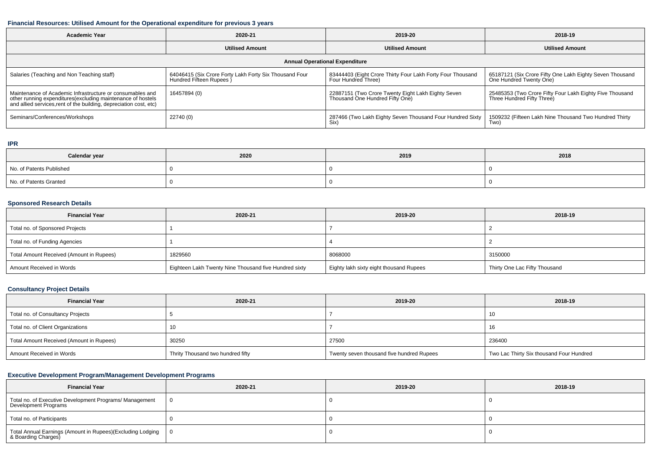## **Financial Resources: Utilised Amount for the Operational expenditure for previous 3 years**

| <b>Academic Year</b>                                                                                                                                                                           | 2020-21                                                                           | 2019-20                                                                               | 2018-19                                                                                |  |  |  |  |
|------------------------------------------------------------------------------------------------------------------------------------------------------------------------------------------------|-----------------------------------------------------------------------------------|---------------------------------------------------------------------------------------|----------------------------------------------------------------------------------------|--|--|--|--|
|                                                                                                                                                                                                | <b>Utilised Amount</b>                                                            | <b>Utilised Amount</b>                                                                | <b>Utilised Amount</b>                                                                 |  |  |  |  |
| <b>Annual Operational Expenditure</b>                                                                                                                                                          |                                                                                   |                                                                                       |                                                                                        |  |  |  |  |
| Salaries (Teaching and Non Teaching staff)                                                                                                                                                     | 64046415 (Six Crore Forty Lakh Forty Six Thousand Four<br>Hundred Fifteen Rupees) | 83444403 (Eight Crore Thirty Four Lakh Forty Four Thousand<br>Four Hundred Three)     | 65187121 (Six Crore Fifty One Lakh Eighty Seven Thousand<br>One Hundred Twenty One)    |  |  |  |  |
| Maintenance of Academic Infrastructure or consumables and<br>other running expenditures(excluding maintenance of hostels<br>and allied services, rent of the building, depreciation cost, etc) | 16457894 (0)                                                                      | 22887151 (Two Crore Twenty Eight Lakh Eighty Seven<br>Thousand One Hundred Fifty One) | 25485353 (Two Crore Fifty Four Lakh Eighty Five Thousand<br>Three Hundred Fifty Three) |  |  |  |  |
| Seminars/Conferences/Workshops                                                                                                                                                                 | 22740 (0)                                                                         | 287466 (Two Lakh Eighty Seven Thousand Four Hundred Sixty<br>Six)                     | 1509232 (Fifteen Lakh Nine Thousand Two Hundred Thirty<br>Two)                         |  |  |  |  |

# **IPR**

| Calendar year            | 2020 | 2019 | 2018 |
|--------------------------|------|------|------|
| No. of Patents Published |      |      |      |
| No. of Patents Granted   |      |      |      |

## **Sponsored Research Details**

| <b>Financial Year</b>                    | 2020-21                                               | 2019-20                                 | 2018-19                       |
|------------------------------------------|-------------------------------------------------------|-----------------------------------------|-------------------------------|
| Total no. of Sponsored Projects          |                                                       |                                         |                               |
| Total no. of Funding Agencies            |                                                       |                                         |                               |
| Total Amount Received (Amount in Rupees) | 1829560                                               | 8068000                                 | 3150000                       |
| Amount Received in Words                 | Eighteen Lakh Twenty Nine Thousand five Hundred sixty | Eighty lakh sixty eight thousand Rupees | Thirty One Lac Fifty Thousand |

# **Consultancy Project Details**

| <b>Financial Year</b>                    | 2020-21                           | 2019-20                                   | 2018-19                                  |
|------------------------------------------|-----------------------------------|-------------------------------------------|------------------------------------------|
| Total no. of Consultancy Projects        |                                   |                                           | ៲៶                                       |
| Total no. of Client Organizations        | 10                                |                                           | - 1 0                                    |
| Total Amount Received (Amount in Rupees) | 30250                             | 27500                                     | 236400                                   |
| Amount Received in Words                 | Thrity Thousand two hundred fifty | Twenty seven thousand five hundred Rupees | Two Lac Thirty Six thousand Four Hundred |

# **Executive Development Program/Management Development Programs**

| <b>Financial Year</b>                                                                | 2020-21 | 2019-20 | 2018-19 |
|--------------------------------------------------------------------------------------|---------|---------|---------|
| Total no. of Executive Development Programs/ Management<br>Development Programs      | - 0     |         |         |
| Total no. of Participants                                                            |         |         |         |
| Total Annual Earnings (Amount in Rupees)(Excluding Lodging   0<br>8 Boarding Charges |         |         |         |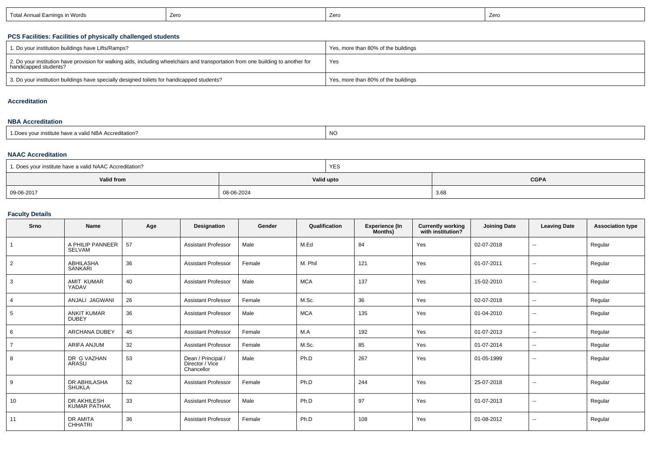| Earnings in Words<br>่ Total Annual ∟ | Zerc | Zerc | 7 <sub>0</sub><br>∠⊏ |
|---------------------------------------|------|------|----------------------|
|---------------------------------------|------|------|----------------------|

# **PCS Facilities: Facilities of physically challenged students**

| 1. Do your institution buildings have Lifts/Ramps?                                                                                                         | Yes, more than 80% of the buildings |
|------------------------------------------------------------------------------------------------------------------------------------------------------------|-------------------------------------|
| 2. Do your institution have provision for walking aids, including wheelchairs and transportation from one building to another for<br>handicapped students? | Yes                                 |
| 3. Do your institution buildings have specially designed toilets for handicapped students?                                                                 | Yes, more than 80% of the buildings |

#### **Accreditation**

#### **NBA Accreditation**

| 1. Does vour institute have a valid NBA Accreditation? | NO |
|--------------------------------------------------------|----|
|                                                        |    |

## **NAAC Accreditation**

| 1. Does your institute have a valid NAAC Accreditation? | <b>YES</b> |             |  |  |  |  |
|---------------------------------------------------------|------------|-------------|--|--|--|--|
| Valid from                                              | Valid upto | <b>CGPA</b> |  |  |  |  |
| 09-06-2017                                              | 08-06-2024 | 3.68        |  |  |  |  |

# **Faculty Details**

| Srno           | Name                               | Age | <b>Designation</b>                                  | Gender | Qualification | <b>Experience (In</b><br>Months) | <b>Currently working</b><br>with institution? | <b>Joining Date</b> | <b>Leaving Date</b>      | <b>Association type</b> |
|----------------|------------------------------------|-----|-----------------------------------------------------|--------|---------------|----------------------------------|-----------------------------------------------|---------------------|--------------------------|-------------------------|
| $\overline{1}$ | A PHILIP PANNEER<br>SELVAM         | 57  | <b>Assistant Professor</b>                          | Male   | M.Ed          | 84                               | Yes                                           | 02-07-2018          | $\sim$                   | Regular                 |
| 2              | <b>ABHILASHA</b><br><b>SANKARI</b> | 36  | <b>Assistant Professor</b>                          | Female | M. Phil       | 121                              | Yes                                           | 01-07-2011          | $\sim$                   | Regular                 |
| 3              | <b>AMIT KUMAR</b><br>YADAV         | 40  | <b>Assistant Professor</b>                          | Male   | <b>MCA</b>    | 137                              | Yes                                           | 15-02-2010          | $\sim$                   | Regular                 |
| 4              | ANJALI JAGWANI                     | 26  | <b>Assistant Professor</b>                          | Female | M.Sc.         | 36                               | Yes                                           | 02-07-2018          | $\sim$                   | Regular                 |
| 5              | <b>ANKIT KUMAR</b><br><b>DUBEY</b> | 36  | <b>Assistant Professor</b>                          | Male   | <b>MCA</b>    | 135                              | Yes                                           | 01-04-2010          | $\sim$ $\sim$            | Regular                 |
| 6              | <b>ARCHANA DUBEY</b>               | 45  | <b>Assistant Professor</b>                          | Female | M.A           | 192                              | Yes                                           | 01-07-2013          | $\sim$                   | Regular                 |
| $\overline{7}$ | ARIFA ANJUM                        | 32  | <b>Assistant Professor</b>                          | Female | M.Sc.         | 85                               | Yes                                           | 01-07-2014          | $\sim$                   | Regular                 |
| 8              | DR G VAZHAN<br>ARASU               | 53  | Dean / Principal /<br>Director / Vice<br>Chancellor | Male   | Ph.D          | 267                              | Yes                                           | 01-05-1999          | $\sim$                   | Regular                 |
| 9              | DR ABHILASHA<br><b>SHUKLA</b>      | 52  | <b>Assistant Professor</b>                          | Female | Ph.D          | 244                              | Yes                                           | 25-07-2018          | $\overline{\phantom{a}}$ | Regular                 |
| 10             | DR AKHILESH<br><b>KUMAR PATHAK</b> | 33  | <b>Assistant Professor</b>                          | Male   | Ph.D          | 97                               | Yes                                           | 01-07-2013          | $\sim$                   | Regular                 |
| 11             | DR AMITA<br><b>CHHATRI</b>         | 36  | <b>Assistant Professor</b>                          | Female | Ph.D          | 108                              | Yes                                           | 01-08-2012          | $- -$                    | Regular                 |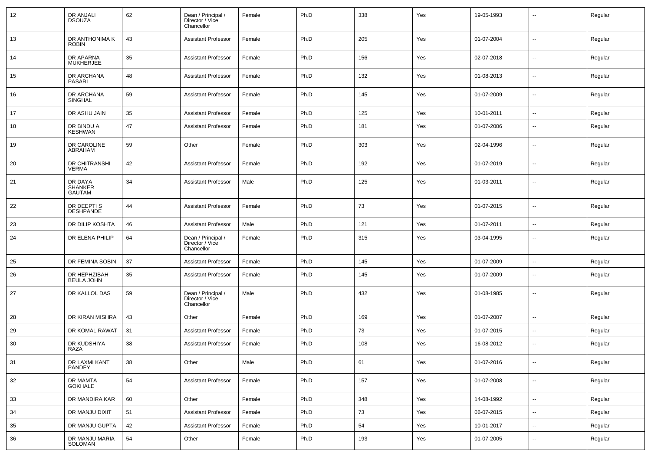| 12 | DR ANJALI<br><b>DSOUZA</b>                 | 62 | Dean / Principal /<br>Director / Vice<br>Chancellor | Female | Ph.D | 338 | Yes | 19-05-1993 | --                       | Regular |
|----|--------------------------------------------|----|-----------------------------------------------------|--------|------|-----|-----|------------|--------------------------|---------|
| 13 | DR ANTHONIMA K<br><b>ROBIN</b>             | 43 | <b>Assistant Professor</b>                          | Female | Ph.D | 205 | Yes | 01-07-2004 | $\overline{\phantom{a}}$ | Regular |
| 14 | DR APARNA<br><b>MUKHERJEE</b>              | 35 | <b>Assistant Professor</b>                          | Female | Ph.D | 156 | Yes | 02-07-2018 | --                       | Regular |
| 15 | DR ARCHANA<br>PASARI                       | 48 | <b>Assistant Professor</b>                          | Female | Ph.D | 132 | Yes | 01-08-2013 | $\overline{\phantom{a}}$ | Regular |
| 16 | DR ARCHANA<br>SINGHAL                      | 59 | <b>Assistant Professor</b>                          | Female | Ph.D | 145 | Yes | 01-07-2009 | --                       | Regular |
| 17 | DR ASHU JAIN                               | 35 | <b>Assistant Professor</b>                          | Female | Ph.D | 125 | Yes | 10-01-2011 | $\overline{\phantom{a}}$ | Regular |
| 18 | DR BINDU A<br><b>KESHWAN</b>               | 47 | <b>Assistant Professor</b>                          | Female | Ph.D | 181 | Yes | 01-07-2006 | $\overline{\phantom{a}}$ | Regular |
| 19 | DR CAROLINE<br>ABRAHAM                     | 59 | Other                                               | Female | Ph.D | 303 | Yes | 02-04-1996 | $\overline{\phantom{a}}$ | Regular |
| 20 | DR CHITRANSHI<br><b>VERMA</b>              | 42 | <b>Assistant Professor</b>                          | Female | Ph.D | 192 | Yes | 01-07-2019 | ⊷.                       | Regular |
| 21 | DR DAYA<br><b>SHANKER</b><br><b>GAUTAM</b> | 34 | <b>Assistant Professor</b>                          | Male   | Ph.D | 125 | Yes | 01-03-2011 | $\overline{\phantom{a}}$ | Regular |
| 22 | DR DEEPTI S<br><b>DESHPANDE</b>            | 44 | <b>Assistant Professor</b>                          | Female | Ph.D | 73  | Yes | 01-07-2015 | $\overline{\phantom{a}}$ | Regular |
| 23 | DR DILIP KOSHTA                            | 46 | <b>Assistant Professor</b>                          | Male   | Ph.D | 121 | Yes | 01-07-2011 | $\overline{\phantom{a}}$ | Regular |
| 24 | DR ELENA PHILIP                            | 64 | Dean / Principal /<br>Director / Vice<br>Chancellor | Female | Ph.D | 315 | Yes | 03-04-1995 | -−                       | Regular |
| 25 | DR FEMINA SOBIN                            | 37 | <b>Assistant Professor</b>                          | Female | Ph.D | 145 | Yes | 01-07-2009 | $\overline{\phantom{a}}$ | Regular |
| 26 | DR HEPHZIBAH<br><b>BEULA JOHN</b>          | 35 | <b>Assistant Professor</b>                          | Female | Ph.D | 145 | Yes | 01-07-2009 | $\overline{\phantom{a}}$ | Regular |
| 27 | DR KALLOL DAS                              | 59 | Dean / Principal /<br>Director / Vice<br>Chancellor | Male   | Ph.D | 432 | Yes | 01-08-1985 | --                       | Regular |
| 28 | DR KIRAN MISHRA                            | 43 | Other                                               | Female | Ph.D | 169 | Yes | 01-07-2007 | $\overline{\phantom{a}}$ | Regular |
| 29 | DR KOMAL RAWAT                             | 31 | <b>Assistant Professor</b>                          | Female | Ph.D | 73  | Yes | 01-07-2015 | Ξ.                       | Regular |
| 30 | DR KUDSHIYA<br>RAZA                        | 38 | <b>Assistant Professor</b>                          | Female | Ph.D | 108 | Yes | 16-08-2012 | --                       | Regular |
| 31 | DR LAXMI KANT<br>PANDEY                    | 38 | Other                                               | Male   | Ph.D | 61  | Yes | 01-07-2016 | $\overline{\phantom{a}}$ | Regular |
| 32 | DR MAMTA<br>GOKHALE                        | 54 | <b>Assistant Professor</b>                          | Female | Ph.D | 157 | Yes | 01-07-2008 | $\overline{\phantom{a}}$ | Regular |
| 33 | DR MANDIRA KAR                             | 60 | Other                                               | Female | Ph.D | 348 | Yes | 14-08-1992 | $\sim$                   | Regular |
| 34 | DR MANJU DIXIT                             | 51 | <b>Assistant Professor</b>                          | Female | Ph.D | 73  | Yes | 06-07-2015 | $\overline{\phantom{a}}$ | Regular |
| 35 | DR MANJU GUPTA                             | 42 | <b>Assistant Professor</b>                          | Female | Ph.D | 54  | Yes | 10-01-2017 | ⊷.                       | Regular |
| 36 | DR MANJU MARIA<br>SOLOMAN                  | 54 | Other                                               | Female | Ph.D | 193 | Yes | 01-07-2005 | $\overline{\phantom{a}}$ | Regular |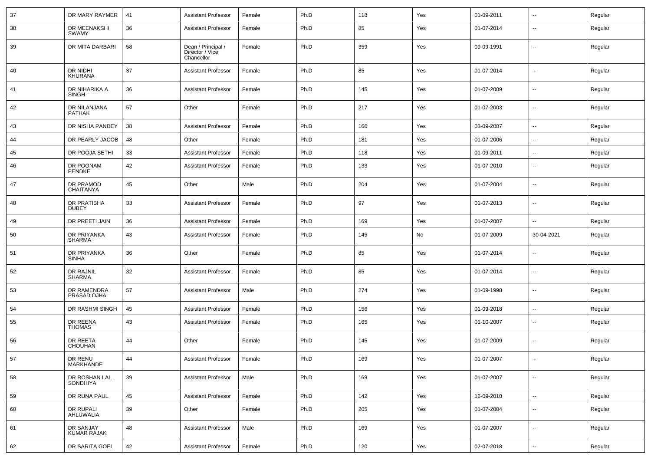| 37 | DR MARY RAYMER                  | 41 | <b>Assistant Professor</b>                          | Female | Ph.D | 118 | Yes | 01-09-2011 | ⊷.                       | Regular |
|----|---------------------------------|----|-----------------------------------------------------|--------|------|-----|-----|------------|--------------------------|---------|
| 38 | DR MEENAKSHI<br><b>SWAMY</b>    | 36 | <b>Assistant Professor</b>                          | Female | Ph.D | 85  | Yes | 01-07-2014 | $\overline{\phantom{a}}$ | Regular |
| 39 | DR MITA DARBARI                 | 58 | Dean / Principal /<br>Director / Vice<br>Chancellor | Female | Ph.D | 359 | Yes | 09-09-1991 | $\overline{\phantom{a}}$ | Regular |
| 40 | DR NIDHI<br><b>KHURANA</b>      | 37 | <b>Assistant Professor</b>                          | Female | Ph.D | 85  | Yes | 01-07-2014 | $\overline{\phantom{a}}$ | Regular |
| 41 | DR NIHARIKA A<br><b>SINGH</b>   | 36 | <b>Assistant Professor</b>                          | Female | Ph.D | 145 | Yes | 01-07-2009 | ⊷.                       | Regular |
| 42 | DR NILANJANA<br><b>PATHAK</b>   | 57 | Other                                               | Female | Ph.D | 217 | Yes | 01-07-2003 | ⊷.                       | Regular |
| 43 | DR NISHA PANDEY                 | 38 | <b>Assistant Professor</b>                          | Female | Ph.D | 166 | Yes | 03-09-2007 | ⊷.                       | Regular |
| 44 | DR PEARLY JACOB                 | 48 | Other                                               | Female | Ph.D | 181 | Yes | 01-07-2006 | ⊷.                       | Regular |
| 45 | DR POOJA SETHI                  | 33 | <b>Assistant Professor</b>                          | Female | Ph.D | 118 | Yes | 01-09-2011 | $\overline{\phantom{a}}$ | Regular |
| 46 | DR POONAM<br>PENDKE             | 42 | <b>Assistant Professor</b>                          | Female | Ph.D | 133 | Yes | 01-07-2010 | --                       | Regular |
| 47 | DR PRAMOD<br><b>CHAITANYA</b>   | 45 | Other                                               | Male   | Ph.D | 204 | Yes | 01-07-2004 | -−                       | Regular |
| 48 | DR PRATIBHA<br><b>DUBEY</b>     | 33 | <b>Assistant Professor</b>                          | Female | Ph.D | 97  | Yes | 01-07-2013 | --                       | Regular |
| 49 | DR PREETI JAIN                  | 36 | <b>Assistant Professor</b>                          | Female | Ph.D | 169 | Yes | 01-07-2007 | -−                       | Regular |
| 50 | DR PRIYANKA<br><b>SHARMA</b>    | 43 | <b>Assistant Professor</b>                          | Female | Ph.D | 145 | No  | 01-07-2009 | 30-04-2021               | Regular |
| 51 | DR PRIYANKA<br><b>SINHA</b>     | 36 | Other                                               | Female | Ph.D | 85  | Yes | 01-07-2014 | ⊷.                       | Regular |
| 52 | DR RAJNIL<br><b>SHARMA</b>      | 32 | <b>Assistant Professor</b>                          | Female | Ph.D | 85  | Yes | 01-07-2014 | $\overline{\phantom{a}}$ | Regular |
| 53 | DR RAMENDRA<br>PRASAD OJHA      | 57 | <b>Assistant Professor</b>                          | Male   | Ph.D | 274 | Yes | 01-09-1998 | ⊷.                       | Regular |
| 54 | DR RASHMI SINGH                 | 45 | <b>Assistant Professor</b>                          | Female | Ph.D | 156 | Yes | 01-09-2018 | $\overline{\phantom{a}}$ | Regular |
| 55 | DR REENA<br><b>THOMAS</b>       | 43 | <b>Assistant Professor</b>                          | Female | Ph.D | 165 | Yes | 01-10-2007 | ⊷.                       | Regular |
| 56 | DR REETA<br><b>CHOUHAN</b>      | 44 | Other                                               | Female | Ph.D | 145 | Yes | 01-07-2009 | $\overline{\phantom{a}}$ | Regular |
| 57 | DR RENU<br>MARKHANDE            | 44 | <b>Assistant Professor</b>                          | Female | Ph.D | 169 | Yes | 01-07-2007 | $\sim$                   | Regular |
| 58 | DR ROSHAN LAL<br>SONDHIYA       | 39 | <b>Assistant Professor</b>                          | Male   | Ph.D | 169 | Yes | 01-07-2007 | н.                       | Regular |
| 59 | DR RUNA PAUL                    | 45 | <b>Assistant Professor</b>                          | Female | Ph.D | 142 | Yes | 16-09-2010 | н.                       | Regular |
| 60 | DR RUPALI<br>AHLUWALIA          | 39 | Other                                               | Female | Ph.D | 205 | Yes | 01-07-2004 | $\sim$                   | Regular |
| 61 |                                 |    |                                                     |        |      |     |     |            |                          |         |
|    | DR SANJAY<br><b>KUMAR RAJAK</b> | 48 | Assistant Professor                                 | Male   | Ph.D | 169 | Yes | 01-07-2007 | $\sim$                   | Regular |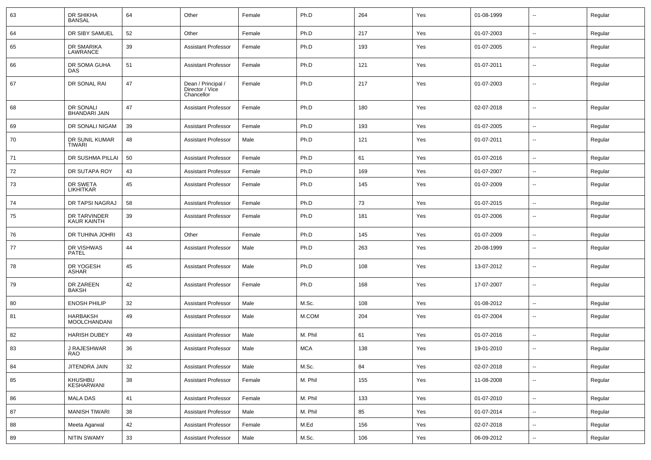| 63 | DR SHIKHA<br><b>BANSAL</b>             | 64 | Other                                               | Female | Ph.D       | 264 | Yes | 01-08-1999 | $\overline{\phantom{a}}$ | Regular |
|----|----------------------------------------|----|-----------------------------------------------------|--------|------------|-----|-----|------------|--------------------------|---------|
| 64 | DR SIBY SAMUEL                         | 52 | Other                                               | Female | Ph.D       | 217 | Yes | 01-07-2003 | ⊷.                       | Regular |
| 65 | DR SMARIKA<br>LAWRANCE                 | 39 | <b>Assistant Professor</b>                          | Female | Ph.D       | 193 | Yes | 01-07-2005 | --                       | Regular |
| 66 | DR SOMA GUHA<br><b>DAS</b>             | 51 | <b>Assistant Professor</b>                          | Female | Ph.D       | 121 | Yes | 01-07-2011 | --                       | Regular |
| 67 | DR SONAL RAI                           | 47 | Dean / Principal /<br>Director / Vice<br>Chancellor | Female | Ph.D       | 217 | Yes | 01-07-2003 | --                       | Regular |
| 68 | DR SONALI<br><b>BHANDARI JAIN</b>      | 47 | <b>Assistant Professor</b>                          | Female | Ph.D       | 180 | Yes | 02-07-2018 | $\overline{\phantom{a}}$ | Regular |
| 69 | DR SONALI NIGAM                        | 39 | <b>Assistant Professor</b>                          | Female | Ph.D       | 193 | Yes | 01-07-2005 | $-$                      | Regular |
| 70 | DR SUNIL KUMAR<br><b>TIWARI</b>        | 48 | <b>Assistant Professor</b>                          | Male   | Ph.D       | 121 | Yes | 01-07-2011 | --                       | Regular |
| 71 | DR SUSHMA PILLAI                       | 50 | <b>Assistant Professor</b>                          | Female | Ph.D       | 61  | Yes | 01-07-2016 | --                       | Regular |
| 72 | DR SUTAPA ROY                          | 43 | <b>Assistant Professor</b>                          | Female | Ph.D       | 169 | Yes | 01-07-2007 | --                       | Regular |
| 73 | DR SWETA<br><b>LIKHITKAR</b>           | 45 | <b>Assistant Professor</b>                          | Female | Ph.D       | 145 | Yes | 01-07-2009 | --                       | Regular |
| 74 | DR TAPSI NAGRAJ                        | 58 | <b>Assistant Professor</b>                          | Female | Ph.D       | 73  | Yes | 01-07-2015 | $\overline{\phantom{a}}$ | Regular |
| 75 | DR TARVINDER<br><b>KAUR KAINTH</b>     | 39 | <b>Assistant Professor</b>                          | Female | Ph.D       | 181 | Yes | 01-07-2006 | $-$                      | Regular |
| 76 | DR TUHINA JOHRI                        | 43 | Other                                               | Female | Ph.D       | 145 | Yes | 01-07-2009 | --                       | Regular |
| 77 | DR VISHWAS<br><b>PATEL</b>             | 44 | <b>Assistant Professor</b>                          | Male   | Ph.D       | 263 | Yes | 20-08-1999 | $\overline{\phantom{a}}$ | Regular |
| 78 | DR YOGESH<br><b>ASHAR</b>              | 45 | <b>Assistant Professor</b>                          | Male   | Ph.D       | 108 | Yes | 13-07-2012 | $\overline{\phantom{a}}$ | Regular |
| 79 | DR ZAREEN<br><b>BAKSH</b>              | 42 | <b>Assistant Professor</b>                          | Female | Ph.D       | 168 | Yes | 17-07-2007 | ⊷.                       | Regular |
| 80 | <b>ENOSH PHILIP</b>                    | 32 | <b>Assistant Professor</b>                          | Male   | M.Sc.      | 108 | Yes | 01-08-2012 | -−                       | Regular |
| 81 | <b>HARBAKSH</b><br><b>MOOLCHANDANI</b> | 49 | <b>Assistant Professor</b>                          | Male   | M.COM      | 204 | Yes | 01-07-2004 | ⊷.                       | Regular |
| 82 | <b>HARISH DUBEY</b>                    | 49 | <b>Assistant Professor</b>                          | Male   | M. Phil    | 61  | Yes | 01-07-2016 | $\overline{\phantom{a}}$ | Regular |
| 83 | J RAJESHWAR<br>RAO                     | 36 | <b>Assistant Professor</b>                          | Male   | <b>MCA</b> | 138 | Yes | 19-01-2010 | --                       | Regular |
| 84 | JITENDRA JAIN                          | 32 | <b>Assistant Professor</b>                          | Male   | M.Sc.      | 84  | Yes | 02-07-2018 | $\sim$                   | Regular |
| 85 | KHUSHBU<br>KESHARWANI                  | 38 | <b>Assistant Professor</b>                          | Female | M. Phil    | 155 | Yes | 11-08-2008 | Ξ.                       | Regular |
| 86 | <b>MALA DAS</b>                        | 41 | <b>Assistant Professor</b>                          | Female | M. Phil    | 133 | Yes | 01-07-2010 | н.                       | Regular |
| 87 | <b>MANISH TIWARI</b>                   | 38 | <b>Assistant Professor</b>                          | Male   | M. Phil    | 85  | Yes | 01-07-2014 | $\overline{\phantom{a}}$ | Regular |
| 88 | Meeta Agarwal                          | 42 | <b>Assistant Professor</b>                          | Female | M.Ed       | 156 | Yes | 02-07-2018 | ш,                       | Regular |
| 89 | <b>NITIN SWAMY</b>                     | 33 | <b>Assistant Professor</b>                          | Male   | M.Sc.      | 106 | Yes | 06-09-2012 | $\sim$                   | Regular |